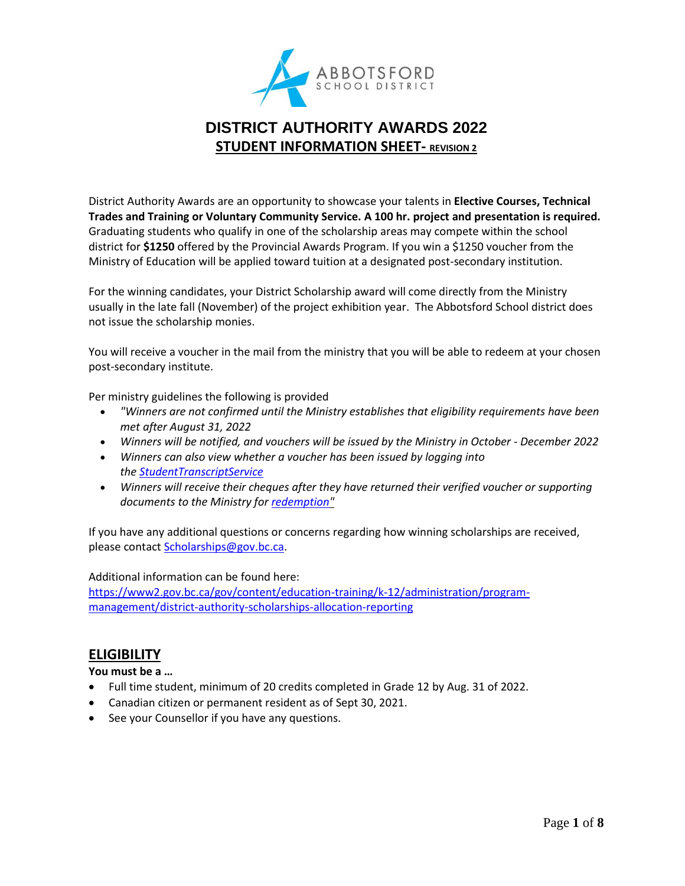

# **DISTRICT AUTHORITY AWARDS 2022 STUDENT INFORMATION SHEET- REVISION 2**

District Authority Awards are an opportunity to showcase your talents in **Elective Courses, Technical Trades and Training or Voluntary Community Service. A 100 hr. project and presentation is required.** Graduating students who qualify in one of the scholarship areas may compete within the school district for **\$1250** offered by the Provincial Awards Program. If you win a \$1250 voucher from the Ministry of Education will be applied toward tuition at a designated post-secondary institution.

For the winning candidates, your District Scholarship award will come directly from the Ministry usually in the late fall (November) of the project exhibition year. The Abbotsford School district does not issue the scholarship monies.

You will receive a voucher in the mail from the ministry that you will be able to redeem at your chosen post-secondary institute.

Per ministry guidelines the following is provided

- *"Winners are not confirmed until the Ministry establishes that eligibility requirements have been met after August 31, 2022*
- *Winners will be notified, and vouchers will be issued by the Ministry in October - December 2022*
- *Winners can also view whether a voucher has been issued by logging into the [StudentTranscriptService](https://www2.gov.bc.ca/gov/content/education-training/k-12/support/transcripts-and-certificates)*
- *Winners will receive their cheques after they have returned their verified voucher or supporting documents to the Ministry for [redemption"](https://www2.gov.bc.ca/gov/content/education-training/k-12/support/scholarships/provincial-scholarships/using-a-scholarship#redeem)*

If you have any additional questions or concerns regarding how winning scholarships are received, please contact [Scholarships@gov.bc.ca.](mailto:Scholarships@gov.bc.ca)

### Additional information can be found here:

[https://www2.gov.bc.ca/gov/content/education-training/k-12/administration/program](https://www2.gov.bc.ca/gov/content/education-training/k-12/administration/program-management/district-authority-scholarships-allocation-reporting)[management/district-authority-scholarships-allocation-reporting](https://www2.gov.bc.ca/gov/content/education-training/k-12/administration/program-management/district-authority-scholarships-allocation-reporting)

## **ELIGIBILITY**

### **You must be a …**

- Full time student, minimum of 20 credits completed in Grade 12 by Aug. 31 of 2022.
- Canadian citizen or permanent resident as of Sept 30, 2021.
- See your Counsellor if you have any questions.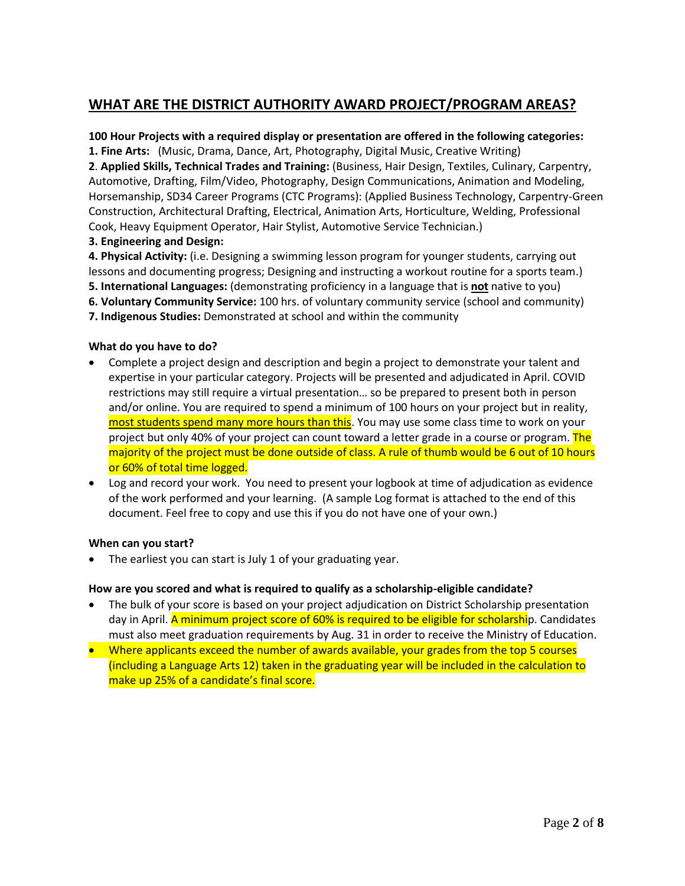# **WHAT ARE THE DISTRICT AUTHORITY AWARD PROJECT/PROGRAM AREAS?**

### **100 Hour Projects with a required display or presentation are offered in the following categories:**

**1. Fine Arts:** (Music, Drama, Dance, Art, Photography, Digital Music, Creative Writing)

**2**. **Applied Skills, Technical Trades and Training:** (Business, Hair Design, Textiles, Culinary, Carpentry, Automotive, Drafting, Film/Video, Photography, Design Communications, Animation and Modeling, Horsemanship, SD34 Career Programs (CTC Programs): (Applied Business Technology, Carpentry-Green Construction, Architectural Drafting, Electrical, Animation Arts, Horticulture, Welding, Professional Cook, Heavy Equipment Operator, Hair Stylist, Automotive Service Technician.)

**3. Engineering and Design:**

**4. Physical Activity:** (i.e. Designing a swimming lesson program for younger students, carrying out lessons and documenting progress; Designing and instructing a workout routine for a sports team.) **5. International Languages:** (demonstrating proficiency in a language that is **not** native to you)

**6. Voluntary Community Service:** 100 hrs. of voluntary community service (school and community)

**7. Indigenous Studies:** Demonstrated at school and within the community

### **What do you have to do?**

- Complete a project design and description and begin a project to demonstrate your talent and expertise in your particular category. Projects will be presented and adjudicated in April. COVID restrictions may still require a virtual presentation… so be prepared to present both in person and/or online. You are required to spend a minimum of 100 hours on your project but in reality, most students spend many more hours than this. You may use some class time to work on your project but only 40% of your project can count toward a letter grade in a course or program. The majority of the project must be done outside of class. A rule of thumb would be 6 out of 10 hours or 60% of total time logged.
- Log and record your work. You need to present your logbook at time of adjudication as evidence of the work performed and your learning. (A sample Log format is attached to the end of this document. Feel free to copy and use this if you do not have one of your own.)

### **When can you start?**

• The earliest you can start is July 1 of your graduating year.

### **How are you scored and what is required to qualify as a scholarship-eligible candidate?**

- The bulk of your score is based on your project adjudication on District Scholarship presentation day in April. A minimum project score of 60% is required to be eligible for scholarship. Candidates must also meet graduation requirements by Aug. 31 in order to receive the Ministry of Education.
- Where applicants exceed the number of awards available, your grades from the top 5 courses (including a Language Arts 12) taken in the graduating year will be included in the calculation to make up 25% of a candidate's final score.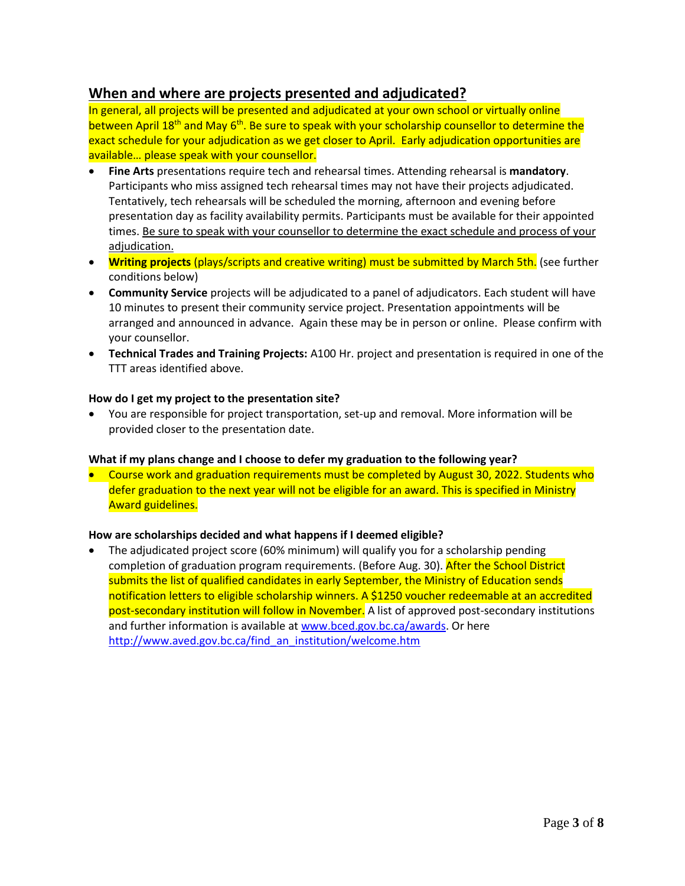## **When and where are projects presented and adjudicated?**

In general, all projects will be presented and adjudicated at your own school or virtually online between April 18<sup>th</sup> and May 6<sup>th</sup>. Be sure to speak with your scholarship counsellor to determine the exact schedule for your adjudication as we get closer to April. Early adjudication opportunities are available… please speak with your counsellor.

- **Fine Arts** presentations require tech and rehearsal times. Attending rehearsal is **mandatory**. Participants who miss assigned tech rehearsal times may not have their projects adjudicated. Tentatively, tech rehearsals will be scheduled the morning, afternoon and evening before presentation day as facility availability permits. Participants must be available for their appointed times. Be sure to speak with your counsellor to determine the exact schedule and process of your adjudication.
- **Writing projects** (plays/scripts and creative writing) must be submitted by March 5th. (see further conditions below)
- **Community Service** projects will be adjudicated to a panel of adjudicators. Each student will have 10 minutes to present their community service project. Presentation appointments will be arranged and announced in advance. Again these may be in person or online. Please confirm with your counsellor.
- **Technical Trades and Training Projects:** A100 Hr. project and presentation is required in one of the TTT areas identified above.

### **How do I get my project to the presentation site?**

• You are responsible for project transportation, set-up and removal. More information will be provided closer to the presentation date.

#### **What if my plans change and I choose to defer my graduation to the following year?**

• Course work and graduation requirements must be completed by August 30, 2022. Students who defer graduation to the next year will not be eligible for an award. This is specified in Ministry Award guidelines.

### **How are scholarships decided and what happens if I deemed eligible?**

• The adjudicated project score (60% minimum) will qualify you for a scholarship pending completion of graduation program requirements. (Before Aug. 30). After the School District submits the list of qualified candidates in early September, the Ministry of Education sends notification letters to eligible scholarship winners. A \$1250 voucher redeemable at an accredited post-secondary institution will follow in November. A list of approved post-secondary institutions and further information is available at [www.bced.gov.bc.ca/awards.](http://www.bced.gov.bc.ca/awards) Or here [http://www.aved.gov.bc.ca/find\\_an\\_institution/welcome.htm](http://www.aved.gov.bc.ca/find_an_institution/welcome.htm)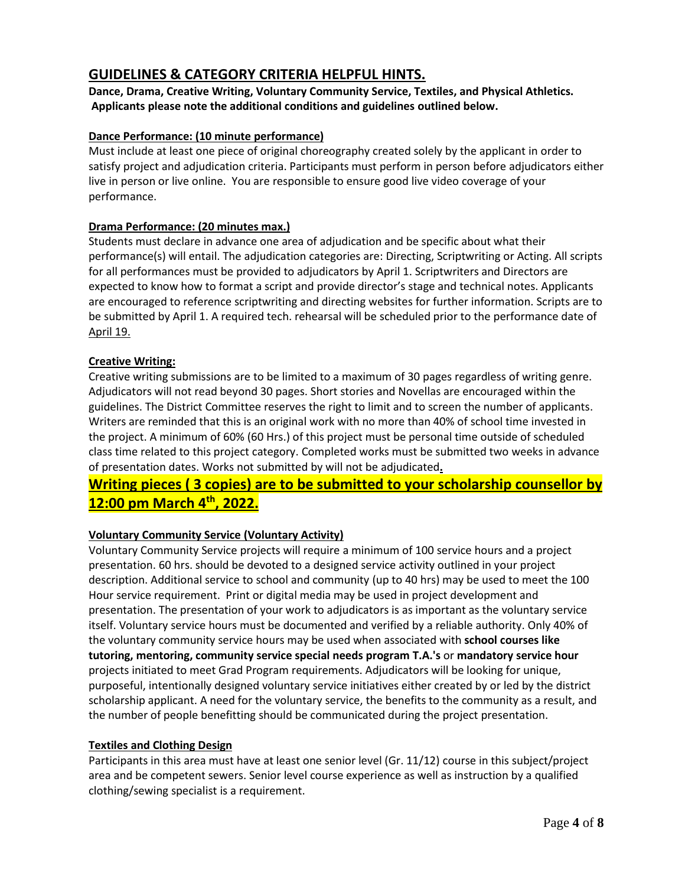## **GUIDELINES & CATEGORY CRITERIA HELPFUL HINTS.**

**Dance, Drama, Creative Writing, Voluntary Community Service, Textiles, and Physical Athletics. Applicants please note the additional conditions and guidelines outlined below.**

### **Dance Performance: (10 minute performance)**

Must include at least one piece of original choreography created solely by the applicant in order to satisfy project and adjudication criteria. Participants must perform in person before adjudicators either live in person or live online. You are responsible to ensure good live video coverage of your performance.

### **Drama Performance: (20 minutes max.)**

Students must declare in advance one area of adjudication and be specific about what their performance(s) will entail. The adjudication categories are: Directing, Scriptwriting or Acting. All scripts for all performances must be provided to adjudicators by April 1. Scriptwriters and Directors are expected to know how to format a script and provide director's stage and technical notes. Applicants are encouraged to reference scriptwriting and directing websites for further information. Scripts are to be submitted by April 1. A required tech. rehearsal will be scheduled prior to the performance date of April 19.

### **Creative Writing:**

Creative writing submissions are to be limited to a maximum of 30 pages regardless of writing genre. Adjudicators will not read beyond 30 pages. Short stories and Novellas are encouraged within the guidelines. The District Committee reserves the right to limit and to screen the number of applicants. Writers are reminded that this is an original work with no more than 40% of school time invested in the project. A minimum of 60% (60 Hrs.) of this project must be personal time outside of scheduled class time related to this project category. Completed works must be submitted two weeks in advance of presentation dates. Works not submitted by will not be adjudicated**.**

# **Writing pieces ( 3 copies) are to be submitted to your scholarship counsellor by 12:00 pm March 4 th, 2022.**

### **Voluntary Community Service (Voluntary Activity)**

Voluntary Community Service projects will require a minimum of 100 service hours and a project presentation. 60 hrs. should be devoted to a designed service activity outlined in your project description. Additional service to school and community (up to 40 hrs) may be used to meet the 100 Hour service requirement. Print or digital media may be used in project development and presentation. The presentation of your work to adjudicators is as important as the voluntary service itself. Voluntary service hours must be documented and verified by a reliable authority. Only 40% of the voluntary community service hours may be used when associated with **school courses like tutoring, mentoring, community service special needs program T.A.'s** or **mandatory service hour** projects initiated to meet Grad Program requirements. Adjudicators will be looking for unique, purposeful, intentionally designed voluntary service initiatives either created by or led by the district scholarship applicant. A need for the voluntary service, the benefits to the community as a result, and the number of people benefitting should be communicated during the project presentation.

### **Textiles and Clothing Design**

Participants in this area must have at least one senior level (Gr. 11/12) course in this subject/project area and be competent sewers. Senior level course experience as well as instruction by a qualified clothing/sewing specialist is a requirement.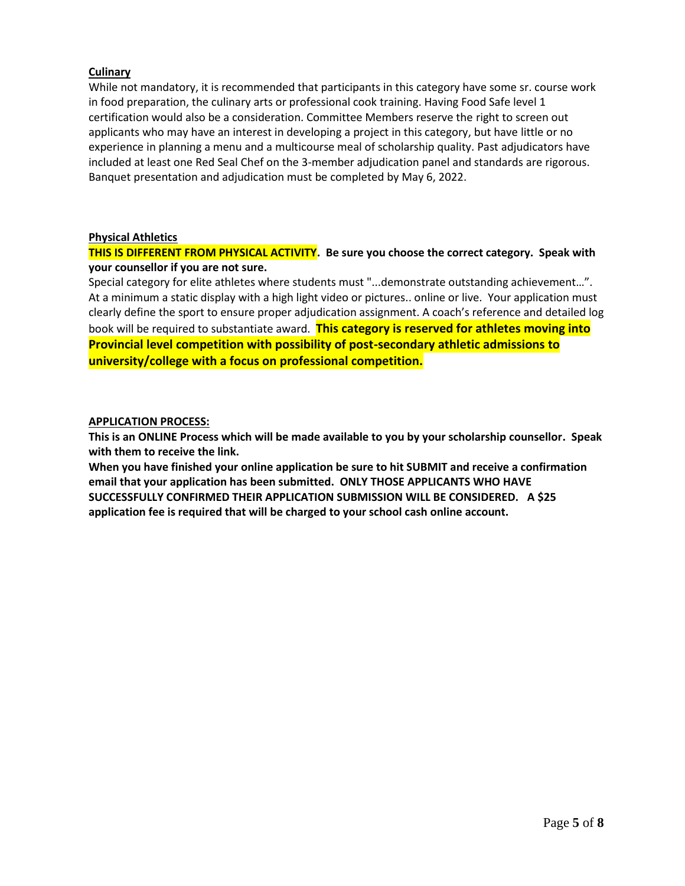### **Culinary**

While not mandatory, it is recommended that participants in this category have some sr. course work in food preparation, the culinary arts or professional cook training. Having Food Safe level 1 certification would also be a consideration. Committee Members reserve the right to screen out applicants who may have an interest in developing a project in this category, but have little or no experience in planning a menu and a multicourse meal of scholarship quality. Past adjudicators have included at least one Red Seal Chef on the 3-member adjudication panel and standards are rigorous. Banquet presentation and adjudication must be completed by May 6, 2022.

#### **Physical Athletics**

### **THIS IS DIFFERENT FROM PHYSICAL ACTIVITY. Be sure you choose the correct category. Speak with your counsellor if you are not sure.**

Special category for elite athletes where students must "...demonstrate outstanding achievement…". At a minimum a static display with a high light video or pictures.. online or live. Your application must clearly define the sport to ensure proper adjudication assignment. A coach's reference and detailed log book will be required to substantiate award. **This category is reserved for athletes moving into Provincial level competition with possibility of post-secondary athletic admissions to university/college with a focus on professional competition.**

#### **APPLICATION PROCESS:**

**This is an ONLINE Process which will be made available to you by your scholarship counsellor. Speak with them to receive the link.**

**When you have finished your online application be sure to hit SUBMIT and receive a confirmation email that your application has been submitted. ONLY THOSE APPLICANTS WHO HAVE SUCCESSFULLY CONFIRMED THEIR APPLICATION SUBMISSION WILL BE CONSIDERED. A \$25 application fee is required that will be charged to your school cash online account.**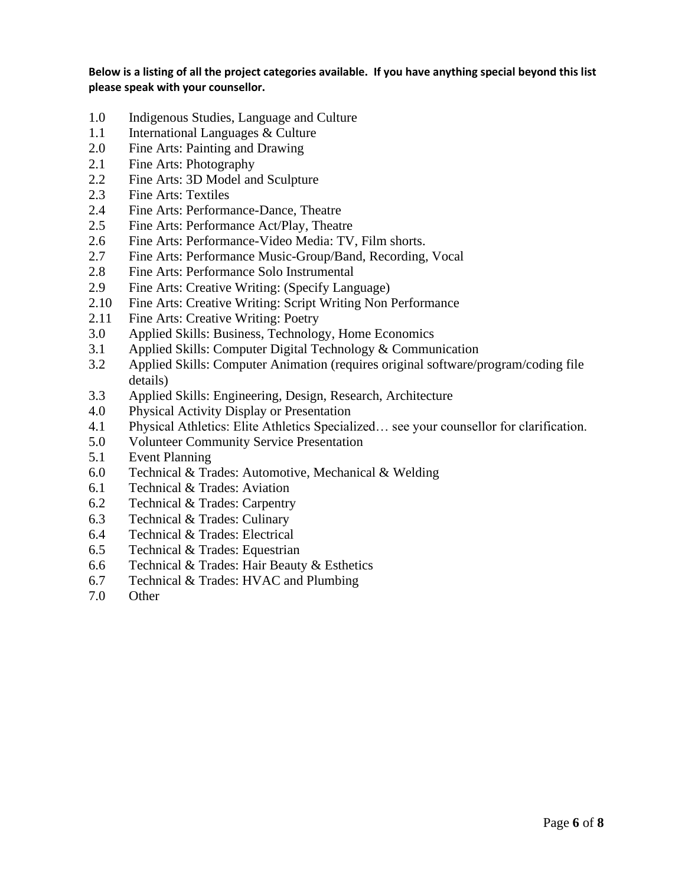**Below is a listing of all the project categories available. If you have anything special beyond this list please speak with your counsellor.**

- 1.0 Indigenous Studies, Language and Culture
- 1.1 International Languages & Culture
- 2.0 Fine Arts: Painting and Drawing
- 2.1 Fine Arts: Photography
- 2.2 Fine Arts: 3D Model and Sculpture
- 2.3 Fine Arts: Textiles
- 2.4 Fine Arts: Performance-Dance, Theatre
- 2.5 Fine Arts: Performance Act/Play, Theatre
- 2.6 Fine Arts: Performance-Video Media: TV, Film shorts.
- 2.7 Fine Arts: Performance Music-Group/Band, Recording, Vocal
- 2.8 Fine Arts: Performance Solo Instrumental
- 2.9 Fine Arts: Creative Writing: (Specify Language)
- 2.10 Fine Arts: Creative Writing: Script Writing Non Performance
- 2.11 Fine Arts: Creative Writing: Poetry
- 3.0 Applied Skills: Business, Technology, Home Economics
- 3.1 Applied Skills: Computer Digital Technology & Communication
- 3.2 Applied Skills: Computer Animation (requires original software/program/coding file details)
- 3.3 Applied Skills: Engineering, Design, Research, Architecture
- 4.0 Physical Activity Display or Presentation
- 4.1 Physical Athletics: Elite Athletics Specialized… see your counsellor for clarification.
- 5.0 Volunteer Community Service Presentation
- 5.1 Event Planning
- 6.0 Technical & Trades: Automotive, Mechanical & Welding
- 6.1 Technical & Trades: Aviation
- 6.2 Technical & Trades: Carpentry
- 6.3 Technical & Trades: Culinary
- 6.4 Technical & Trades: Electrical
- 6.5 Technical & Trades: Equestrian
- 6.6 Technical & Trades: Hair Beauty & Esthetics
- 6.7 Technical & Trades: HVAC and Plumbing
- 7.0 Other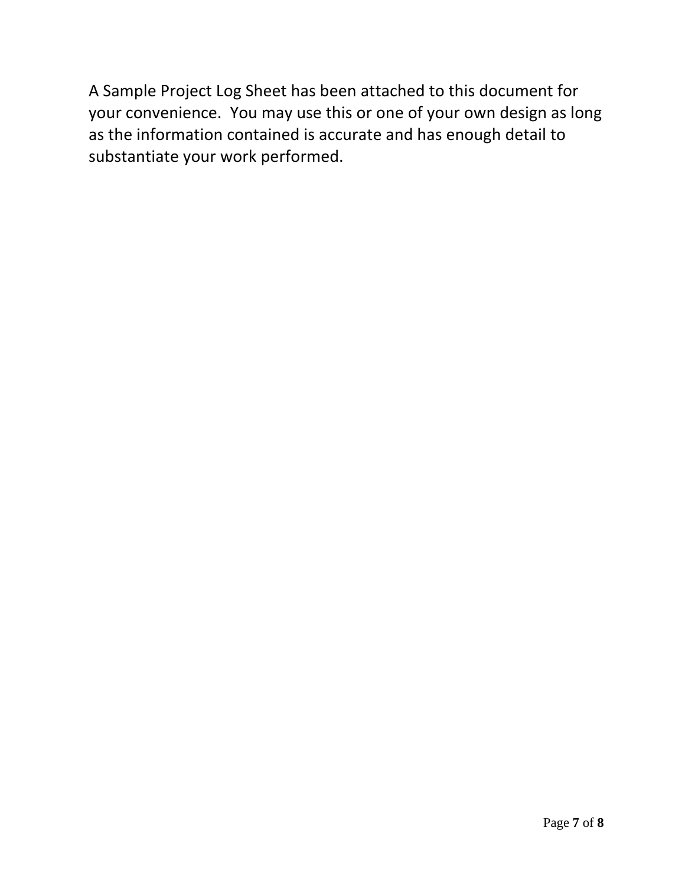A Sample Project Log Sheet has been attached to this document for your convenience. You may use this or one of your own design as long as the information contained is accurate and has enough detail to substantiate your work performed.